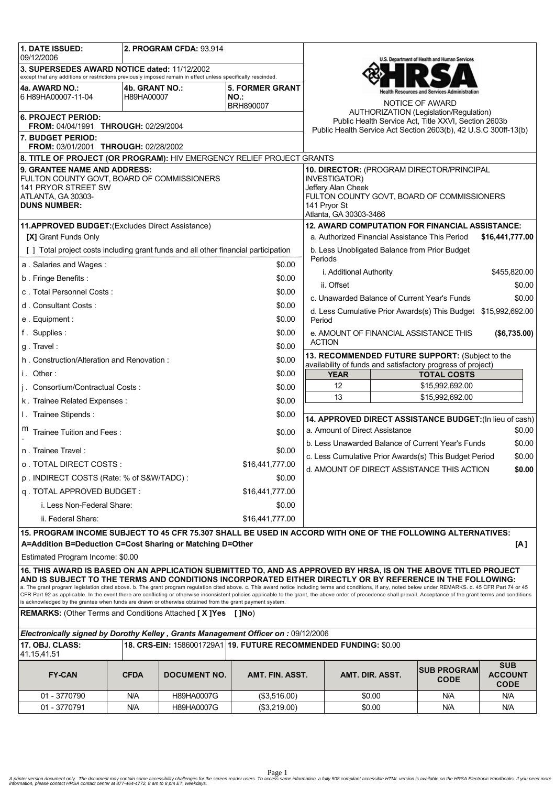| 1. DATE ISSUED:<br>09/12/2006                                                                                                                                                                                                                                                                                                                                                                                                                                                                                                                                                                                                                                     |                                                                                                                         | 2. PROGRAM CFDA: 93.914 |                                                                  |                                                                                                                |                 | U.S. Department of Health and Human Services             |                                             |
|-------------------------------------------------------------------------------------------------------------------------------------------------------------------------------------------------------------------------------------------------------------------------------------------------------------------------------------------------------------------------------------------------------------------------------------------------------------------------------------------------------------------------------------------------------------------------------------------------------------------------------------------------------------------|-------------------------------------------------------------------------------------------------------------------------|-------------------------|------------------------------------------------------------------|----------------------------------------------------------------------------------------------------------------|-----------------|----------------------------------------------------------|---------------------------------------------|
| 3. SUPERSEDES AWARD NOTICE dated: 11/12/2002<br>except that any additions or restrictions previously imposed remain in effect unless specifically rescinded.                                                                                                                                                                                                                                                                                                                                                                                                                                                                                                      |                                                                                                                         |                         |                                                                  |                                                                                                                |                 |                                                          |                                             |
| 4a. AWARD NO.:                                                                                                                                                                                                                                                                                                                                                                                                                                                                                                                                                                                                                                                    | 4b. GRANT NO.:                                                                                                          |                         | <b>5. FORMER GRANT</b>                                           |                                                                                                                |                 |                                                          |                                             |
| 6 H89HA00007-11-04                                                                                                                                                                                                                                                                                                                                                                                                                                                                                                                                                                                                                                                | H89HA00007                                                                                                              |                         | NO.:<br>BRH890007                                                |                                                                                                                |                 | NOTICE OF AWARD                                          |                                             |
| <b>6. PROJECT PERIOD:</b>                                                                                                                                                                                                                                                                                                                                                                                                                                                                                                                                                                                                                                         |                                                                                                                         |                         |                                                                  |                                                                                                                |                 | AUTHORIZATION (Legislation/Regulation)                   |                                             |
| FROM: 04/04/1991 THROUGH: 02/29/2004                                                                                                                                                                                                                                                                                                                                                                                                                                                                                                                                                                                                                              | Public Health Service Act, Title XXVI, Section 2603b<br>Public Health Service Act Section 2603(b), 42 U.S.C 300ff-13(b) |                         |                                                                  |                                                                                                                |                 |                                                          |                                             |
| 7. BUDGET PERIOD:<br>FROM: 03/01/2001 THROUGH: 02/28/2002                                                                                                                                                                                                                                                                                                                                                                                                                                                                                                                                                                                                         |                                                                                                                         |                         |                                                                  |                                                                                                                |                 |                                                          |                                             |
| 8. TITLE OF PROJECT (OR PROGRAM): HIV EMERGENCY RELIEF PROJECT GRANTS                                                                                                                                                                                                                                                                                                                                                                                                                                                                                                                                                                                             |                                                                                                                         |                         |                                                                  |                                                                                                                |                 |                                                          |                                             |
| 9. GRANTEE NAME AND ADDRESS:<br>FULTON COUNTY GOVT, BOARD OF COMMISSIONERS<br>141 PRYOR STREET SW                                                                                                                                                                                                                                                                                                                                                                                                                                                                                                                                                                 | 10. DIRECTOR: (PROGRAM DIRECTOR/PRINCIPAL<br><b>INVESTIGATOR)</b><br>Jeffery Alan Cheek                                 |                         |                                                                  |                                                                                                                |                 |                                                          |                                             |
| ATLANTA, GA 30303-<br><b>DUNS NUMBER:</b>                                                                                                                                                                                                                                                                                                                                                                                                                                                                                                                                                                                                                         | FULTON COUNTY GOVT, BOARD OF COMMISSIONERS<br>141 Pryor St<br>Atlanta, GA 30303-3466                                    |                         |                                                                  |                                                                                                                |                 |                                                          |                                             |
| 11.APPROVED BUDGET: (Excludes Direct Assistance)                                                                                                                                                                                                                                                                                                                                                                                                                                                                                                                                                                                                                  |                                                                                                                         |                         |                                                                  |                                                                                                                |                 | <b>12. AWARD COMPUTATION FOR FINANCIAL ASSISTANCE:</b>   |                                             |
| [X] Grant Funds Only                                                                                                                                                                                                                                                                                                                                                                                                                                                                                                                                                                                                                                              | a. Authorized Financial Assistance This Period<br>\$16,441,777.00                                                       |                         |                                                                  |                                                                                                                |                 |                                                          |                                             |
| [] Total project costs including grant funds and all other financial participation                                                                                                                                                                                                                                                                                                                                                                                                                                                                                                                                                                                | b. Less Unobligated Balance from Prior Budget<br>Periods                                                                |                         |                                                                  |                                                                                                                |                 |                                                          |                                             |
| a. Salaries and Wages:                                                                                                                                                                                                                                                                                                                                                                                                                                                                                                                                                                                                                                            | i. Additional Authority<br>\$455,820.00                                                                                 |                         |                                                                  |                                                                                                                |                 |                                                          |                                             |
| b. Fringe Benefits:<br>\$0.00                                                                                                                                                                                                                                                                                                                                                                                                                                                                                                                                                                                                                                     |                                                                                                                         |                         | \$0.00<br>ii. Offset                                             |                                                                                                                |                 |                                                          |                                             |
| c. Total Personnel Costs:<br>\$0.00                                                                                                                                                                                                                                                                                                                                                                                                                                                                                                                                                                                                                               |                                                                                                                         |                         |                                                                  | c. Unawarded Balance of Current Year's Funds<br>\$0.00                                                         |                 |                                                          |                                             |
| d. Consultant Costs:<br>\$0.00                                                                                                                                                                                                                                                                                                                                                                                                                                                                                                                                                                                                                                    |                                                                                                                         |                         |                                                                  | d. Less Cumulative Prior Awards(s) This Budget \$15,992,692.00                                                 |                 |                                                          |                                             |
| e. Equipment:                                                                                                                                                                                                                                                                                                                                                                                                                                                                                                                                                                                                                                                     |                                                                                                                         |                         | \$0.00                                                           | Period                                                                                                         |                 |                                                          |                                             |
| f. Supplies:                                                                                                                                                                                                                                                                                                                                                                                                                                                                                                                                                                                                                                                      | \$0.00                                                                                                                  |                         |                                                                  | e. AMOUNT OF FINANCIAL ASSISTANCE THIS<br>(\$6,735.00)                                                         |                 |                                                          |                                             |
| g. Travel:                                                                                                                                                                                                                                                                                                                                                                                                                                                                                                                                                                                                                                                        |                                                                                                                         |                         | \$0.00                                                           | <b>ACTION</b>                                                                                                  |                 |                                                          |                                             |
| \$0.00<br>h. Construction/Alteration and Renovation:                                                                                                                                                                                                                                                                                                                                                                                                                                                                                                                                                                                                              |                                                                                                                         |                         |                                                                  | 13. RECOMMENDED FUTURE SUPPORT: (Subject to the<br>availability of funds and satisfactory progress of project) |                 |                                                          |                                             |
| i. Other:                                                                                                                                                                                                                                                                                                                                                                                                                                                                                                                                                                                                                                                         |                                                                                                                         |                         | \$0.00                                                           | <b>YEAR</b><br><b>TOTAL COSTS</b>                                                                              |                 |                                                          |                                             |
| j. Consortium/Contractual Costs:                                                                                                                                                                                                                                                                                                                                                                                                                                                                                                                                                                                                                                  |                                                                                                                         |                         | \$0.00                                                           | 12<br>\$15,992,692.00                                                                                          |                 |                                                          |                                             |
| k. Trainee Related Expenses:                                                                                                                                                                                                                                                                                                                                                                                                                                                                                                                                                                                                                                      |                                                                                                                         |                         | \$0.00                                                           | 13<br>\$15,992,692.00                                                                                          |                 |                                                          |                                             |
| I. Trainee Stipends:                                                                                                                                                                                                                                                                                                                                                                                                                                                                                                                                                                                                                                              |                                                                                                                         |                         | \$0.00                                                           |                                                                                                                |                 | 14. APPROVED DIRECT ASSISTANCE BUDGET: (In lieu of cash) |                                             |
| Trainee Tuition and Fees:<br>\$0.00                                                                                                                                                                                                                                                                                                                                                                                                                                                                                                                                                                                                                               |                                                                                                                         |                         |                                                                  | \$0.00<br>a. Amount of Direct Assistance<br>b. Less Unawarded Balance of Current Year's Funds<br>\$0.00        |                 |                                                          |                                             |
| n. Trainee Travel:                                                                                                                                                                                                                                                                                                                                                                                                                                                                                                                                                                                                                                                | \$0.00<br>c. Less Cumulative Prior Awards(s) This Budget Period                                                         |                         |                                                                  |                                                                                                                |                 |                                                          |                                             |
| o TOTAL DIRECT COSTS :<br>\$16,441,777.00                                                                                                                                                                                                                                                                                                                                                                                                                                                                                                                                                                                                                         |                                                                                                                         |                         | d. AMOUNT OF DIRECT ASSISTANCE THIS ACTION<br>\$0.00             |                                                                                                                |                 |                                                          |                                             |
| p. INDIRECT COSTS (Rate: % of S&W/TADC):                                                                                                                                                                                                                                                                                                                                                                                                                                                                                                                                                                                                                          |                                                                                                                         |                         |                                                                  |                                                                                                                |                 |                                                          |                                             |
| q. TOTAL APPROVED BUDGET:                                                                                                                                                                                                                                                                                                                                                                                                                                                                                                                                                                                                                                         |                                                                                                                         |                         |                                                                  |                                                                                                                |                 |                                                          |                                             |
| i. Less Non-Federal Share:<br>\$0.00                                                                                                                                                                                                                                                                                                                                                                                                                                                                                                                                                                                                                              |                                                                                                                         |                         |                                                                  |                                                                                                                |                 |                                                          |                                             |
| ii. Federal Share:                                                                                                                                                                                                                                                                                                                                                                                                                                                                                                                                                                                                                                                |                                                                                                                         |                         |                                                                  |                                                                                                                |                 |                                                          |                                             |
| 15. PROGRAM INCOME SUBJECT TO 45 CFR 75.307 SHALL BE USED IN ACCORD WITH ONE OF THE FOLLOWING ALTERNATIVES:                                                                                                                                                                                                                                                                                                                                                                                                                                                                                                                                                       |                                                                                                                         |                         |                                                                  |                                                                                                                |                 |                                                          |                                             |
| A=Addition B=Deduction C=Cost Sharing or Matching D=Other                                                                                                                                                                                                                                                                                                                                                                                                                                                                                                                                                                                                         |                                                                                                                         |                         |                                                                  |                                                                                                                |                 |                                                          | [A]                                         |
| Estimated Program Income: \$0.00                                                                                                                                                                                                                                                                                                                                                                                                                                                                                                                                                                                                                                  |                                                                                                                         |                         |                                                                  |                                                                                                                |                 |                                                          |                                             |
| 16. THIS AWARD IS BASED ON AN APPLICATION SUBMITTED TO, AND AS APPROVED BY HRSA, IS ON THE ABOVE TITLED PROJECT<br>AND IS SUBJECT TO THE TERMS AND CONDITIONS INCORPORATED EITHER DIRECTLY OR BY REFERENCE IN THE FOLLOWING:<br>a. The grant program legislation cited above. b. The grant program regulation cited above. c. This award notice including terms and conditions, if any, noted below under REMARKS. d. 45 CFR Part 74 or 45<br>CFR Part 92 as applicable. In the event there are conflicting or otherwise inconsistent policies applicable to the grant, the above order of precedence shall prevail. Acceptance of the grant terms and conditions |                                                                                                                         |                         |                                                                  |                                                                                                                |                 |                                                          |                                             |
| is acknowledged by the grantee when funds are drawn or otherwise obtained from the grant payment system.                                                                                                                                                                                                                                                                                                                                                                                                                                                                                                                                                          |                                                                                                                         |                         |                                                                  |                                                                                                                |                 |                                                          |                                             |
| <b>REMARKS:</b> (Other Terms and Conditions Attached [X]Yes                                                                                                                                                                                                                                                                                                                                                                                                                                                                                                                                                                                                       |                                                                                                                         |                         | [ ]No)                                                           |                                                                                                                |                 |                                                          |                                             |
| Electronically signed by Dorothy Kelley, Grants Management Officer on: 09/12/2006                                                                                                                                                                                                                                                                                                                                                                                                                                                                                                                                                                                 |                                                                                                                         |                         |                                                                  |                                                                                                                |                 |                                                          |                                             |
| 17. OBJ. CLASS:<br>41.15,41.51                                                                                                                                                                                                                                                                                                                                                                                                                                                                                                                                                                                                                                    |                                                                                                                         |                         | 18. CRS-EIN: 1586001729A1 19. FUTURE RECOMMENDED FUNDING: \$0.00 |                                                                                                                |                 |                                                          |                                             |
| <b>FY-CAN</b>                                                                                                                                                                                                                                                                                                                                                                                                                                                                                                                                                                                                                                                     | <b>CFDA</b>                                                                                                             | <b>DOCUMENT NO.</b>     | AMT. FIN. ASST.                                                  |                                                                                                                | AMT. DIR. ASST. | <b>SUB PROGRAM</b><br><b>CODE</b>                        | <b>SUB</b><br><b>ACCOUNT</b><br><b>CODE</b> |
| 01 - 3770790                                                                                                                                                                                                                                                                                                                                                                                                                                                                                                                                                                                                                                                      | N/A                                                                                                                     | H89HA0007G              | (\$3,516.00)                                                     |                                                                                                                | \$0.00          | N/A                                                      | N/A                                         |
| 01 - 3770791                                                                                                                                                                                                                                                                                                                                                                                                                                                                                                                                                                                                                                                      | N/A                                                                                                                     | H89HA0007G              | (\$3,219.00)                                                     |                                                                                                                | \$0.00          | N/A                                                      | N/A                                         |